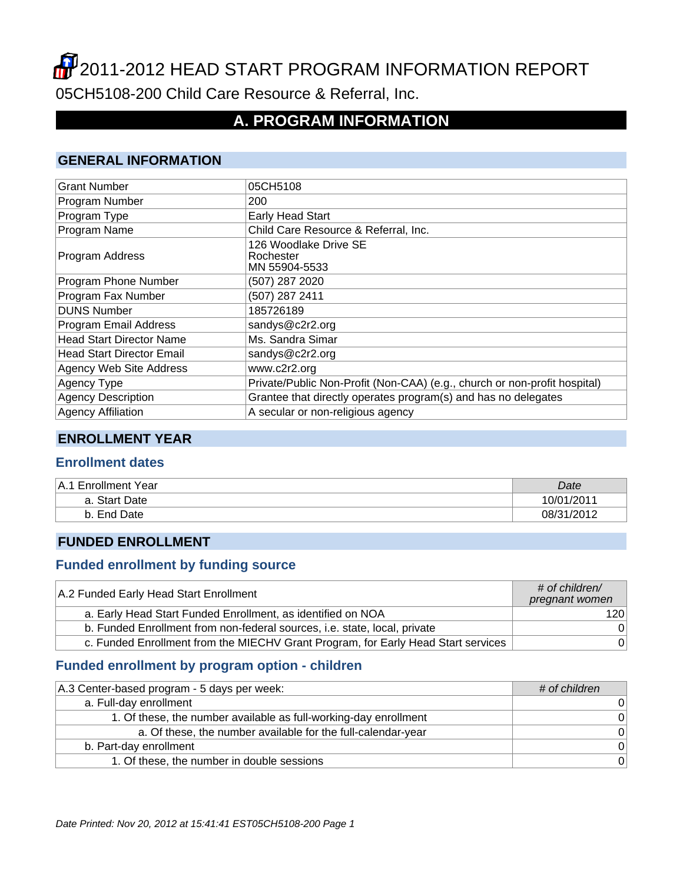# **2011-2012 HEAD START PROGRAM INFORMATION REPORT** 05CH5108-200 Child Care Resource & Referral, Inc.

# **A. PROGRAM INFORMATION**

### **GENERAL INFORMATION**

| <b>Grant Number</b>              | 05CH5108                                                                  |
|----------------------------------|---------------------------------------------------------------------------|
|                                  |                                                                           |
| Program Number                   | 200                                                                       |
| Program Type                     | <b>Early Head Start</b>                                                   |
| Program Name                     | Child Care Resource & Referral, Inc.                                      |
| Program Address                  | 126 Woodlake Drive SE<br>Rochester<br>MN 55904-5533                       |
| Program Phone Number             | (507) 287 2020                                                            |
| Program Fax Number               | (507) 287 2411                                                            |
| <b>DUNS Number</b>               | 185726189                                                                 |
| Program Email Address            | sandys@c2r2.org                                                           |
| <b>Head Start Director Name</b>  | Ms. Sandra Simar                                                          |
| <b>Head Start Director Email</b> | sandys@c2r2.org                                                           |
| Agency Web Site Address          | www.c2r2.org                                                              |
| Agency Type                      | Private/Public Non-Profit (Non-CAA) (e.g., church or non-profit hospital) |
| <b>Agency Description</b>        | Grantee that directly operates program(s) and has no delegates            |
| <b>Agency Affiliation</b>        | A secular or non-religious agency                                         |

### **ENROLLMENT YEAR**

#### **Enrollment dates**

| <b>Enrollment Year</b><br>⊦A.1 | Date       |
|--------------------------------|------------|
| a. Start Date                  | 10/01/2011 |
| End Date<br>b.                 | 08/31/2012 |

#### **FUNDED ENROLLMENT**

#### **Funded enrollment by funding source**

| A.2 Funded Early Head Start Enrollment                                            | $#$ of children/<br>pregnant women |
|-----------------------------------------------------------------------------------|------------------------------------|
| a. Early Head Start Funded Enrollment, as identified on NOA                       | 120 <sup>1</sup>                   |
| b. Funded Enrollment from non-federal sources, i.e. state, local, private         | 0 <sup>1</sup>                     |
| c. Funded Enrollment from the MIECHV Grant Program, for Early Head Start services | 0 <sup>1</sup>                     |

### **Funded enrollment by program option - children**

| A.3 Center-based program - 5 days per week:                      | # of children  |
|------------------------------------------------------------------|----------------|
| a. Full-day enrollment                                           | 0              |
| 1. Of these, the number available as full-working-day enrollment | $\Omega$       |
| a. Of these, the number available for the full-calendar-year     | $\Omega$       |
| b. Part-day enrollment                                           | $\overline{0}$ |
| 1. Of these, the number in double sessions                       | $\overline{0}$ |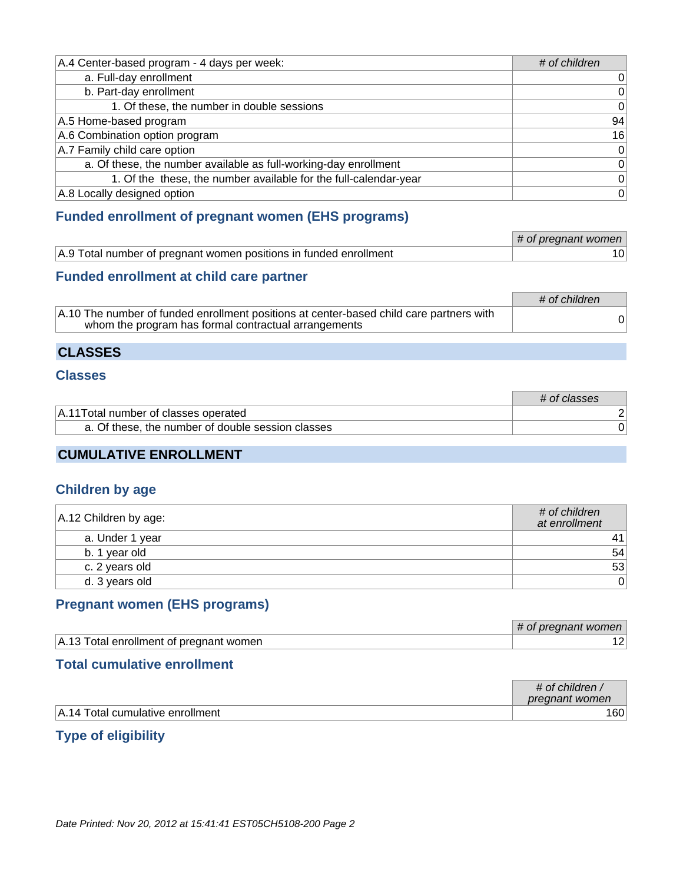| A.4 Center-based program - 4 days per week:                      | # of children   |
|------------------------------------------------------------------|-----------------|
| a. Full-day enrollment                                           | 0               |
| b. Part-day enrollment                                           | $\vert 0 \vert$ |
| 1. Of these, the number in double sessions                       | 0               |
| A.5 Home-based program                                           | 94              |
| A.6 Combination option program                                   | 16              |
| A.7 Family child care option                                     | 0               |
| a. Of these, the number available as full-working-day enrollment | 0               |
| 1. Of the these, the number available for the full-calendar-year | $\vert 0 \vert$ |
| A.8 Locally designed option                                      | 0               |

### **Funded enrollment of pregnant women (EHS programs)**

|                                                                   | # of pregnant women |
|-------------------------------------------------------------------|---------------------|
| A.9 Total number of pregnant women positions in funded enrollment |                     |

### **Funded enrollment at child care partner**

|                                                                                                                                                         | # of children |
|---------------------------------------------------------------------------------------------------------------------------------------------------------|---------------|
| $\vert$ A.10 The number of funded enrollment positions at center-based child care partners with<br>whom the program has formal contractual arrangements |               |

### **CLASSES**

### **Classes**

|                                                   | # of classes |
|---------------------------------------------------|--------------|
| A.11 Total number of classes operated             |              |
| a. Of these, the number of double session classes |              |
|                                                   |              |

### **CUMULATIVE ENROLLMENT**

#### **Children by age**

| A.12 Children by age: | # of children<br>at enrollment |
|-----------------------|--------------------------------|
| a. Under 1 year       | 41                             |
| b. 1 year old         | 54                             |
| c. 2 years old        | 53                             |
| d. 3 years old        | 0                              |

### **Pregnant women (EHS programs)**

|                                         | pregnant women<br>OF |
|-----------------------------------------|----------------------|
| A.13 Total enrollment of pregnant women |                      |

### **Total cumulative enrollment**

|                                  | # of children,<br>pregnant women |
|----------------------------------|----------------------------------|
| A.14 Total cumulative enrollment | 160                              |

### **Type of eligibility**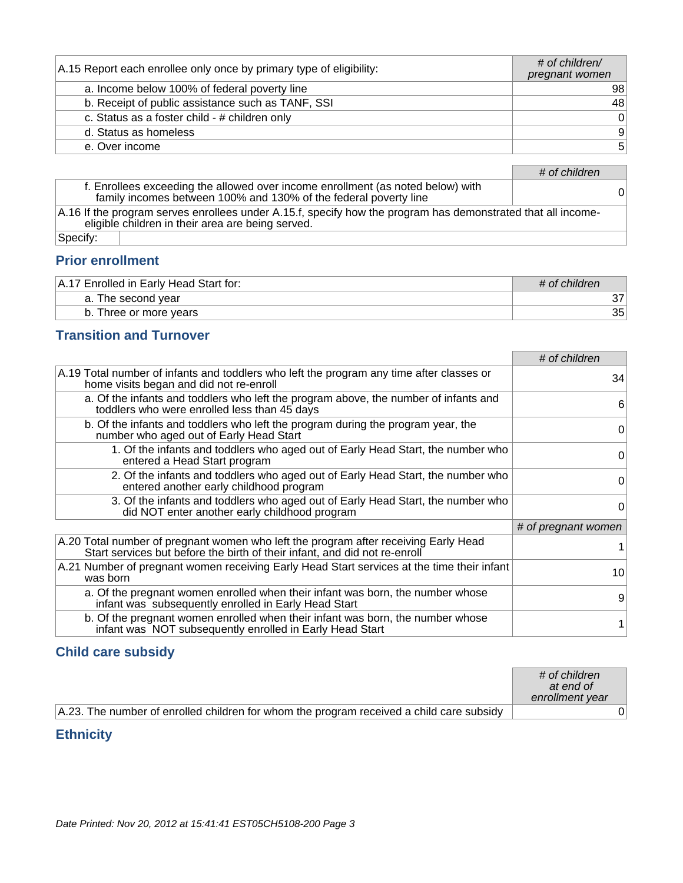| A.15 Report each enrollee only once by primary type of eligibility: | # of children/<br>pregnant women |
|---------------------------------------------------------------------|----------------------------------|
| a. Income below 100% of federal poverty line                        | 98                               |
| b. Receipt of public assistance such as TANF, SSI                   | 48                               |
| c. Status as a foster child - # children only                       | $\overline{0}$                   |
| d. Status as homeless                                               | $\vert 9 \vert$                  |
| e. Over income                                                      | 5 <sup>1</sup>                   |

# of children

| f. Enrollees exceeding the allowed over income enrollment (as noted below) with<br>family incomes between 100% and 130% of the federal poverty line               | 0 |
|-------------------------------------------------------------------------------------------------------------------------------------------------------------------|---|
| A.16 If the program serves enrollees under A.15.f, specify how the program has demonstrated that all income-<br>eligible children in their area are being served. |   |
| Specify:                                                                                                                                                          |   |

### **Prior enrollment**

| 7 Enrolled in Early Head Start for:<br>.A.1' | # of children |
|----------------------------------------------|---------------|
| a. The second year                           |               |
| Three or more years<br>b.                    | 35            |

### **Transition and Turnover**

|                                                                                                                                                                   | # of children       |
|-------------------------------------------------------------------------------------------------------------------------------------------------------------------|---------------------|
| A.19 Total number of infants and toddlers who left the program any time after classes or<br>home visits began and did not re-enroll                               | 34                  |
| a. Of the infants and toddlers who left the program above, the number of infants and<br>toddlers who were enrolled less than 45 days                              | 6                   |
| b. Of the infants and toddlers who left the program during the program year, the<br>number who aged out of Early Head Start                                       | 0                   |
| 1. Of the infants and toddlers who aged out of Early Head Start, the number who<br>entered a Head Start program                                                   | 0                   |
| 2. Of the infants and toddlers who aged out of Early Head Start, the number who<br>entered another early childhood program                                        | 0                   |
| 3. Of the infants and toddlers who aged out of Early Head Start, the number who<br>did NOT enter another early childhood program                                  | 0                   |
|                                                                                                                                                                   | # of pregnant women |
| A.20 Total number of pregnant women who left the program after receiving Early Head<br>Start services but before the birth of their infant, and did not re-enroll |                     |
| A.21 Number of pregnant women receiving Early Head Start services at the time their infant<br>was born                                                            | 10                  |
| a. Of the pregnant women enrolled when their infant was born, the number whose<br>infant was subsequently enrolled in Early Head Start                            | 9                   |
| b. Of the pregnant women enrolled when their infant was born, the number whose<br>infant was NOT subsequently enrolled in Early Head Start                        |                     |

### **Child care subsidy**

|                                                                                          | # of children<br>at end of<br>enrollment year |
|------------------------------------------------------------------------------------------|-----------------------------------------------|
| A.23. The number of enrolled children for whom the program received a child care subsidy |                                               |

### **Ethnicity**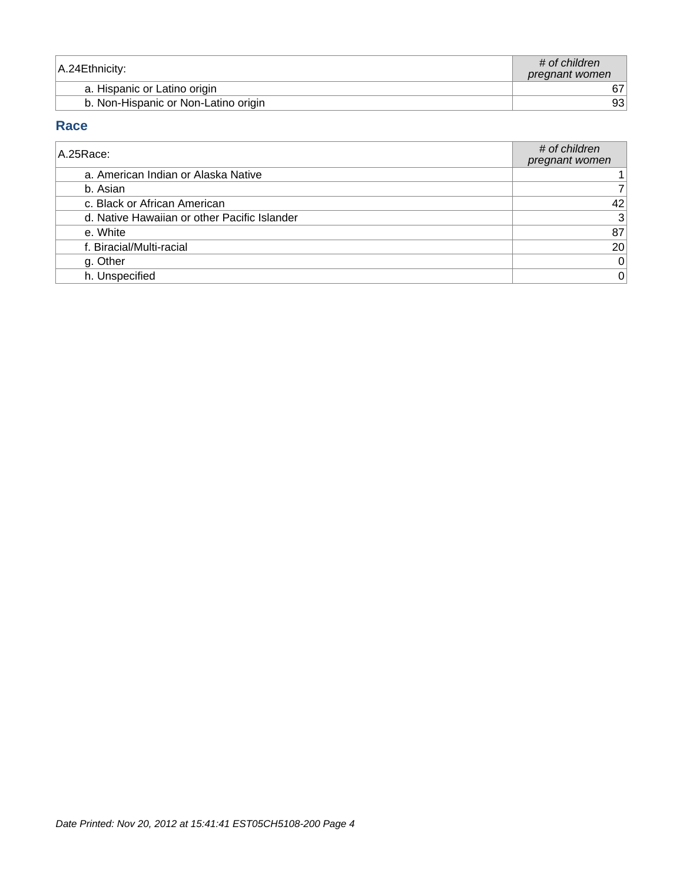| A.24 Ethnicity:                      | # of children<br>pregnant women |
|--------------------------------------|---------------------------------|
| a. Hispanic or Latino origin         |                                 |
| b. Non-Hispanic or Non-Latino origin | 931                             |

### **Race**

| A.25 Race:                                   | # of children<br>pregnant women |
|----------------------------------------------|---------------------------------|
| a. American Indian or Alaska Native          |                                 |
| b. Asian                                     |                                 |
| c. Black or African American                 | 42                              |
| d. Native Hawaiian or other Pacific Islander | $\vert 3 \vert$                 |
| e. White                                     | 87                              |
| f. Biracial/Multi-racial                     | 20                              |
| g. Other                                     | $\mathbf 0$                     |
| h. Unspecified                               | $\pmb{0}$                       |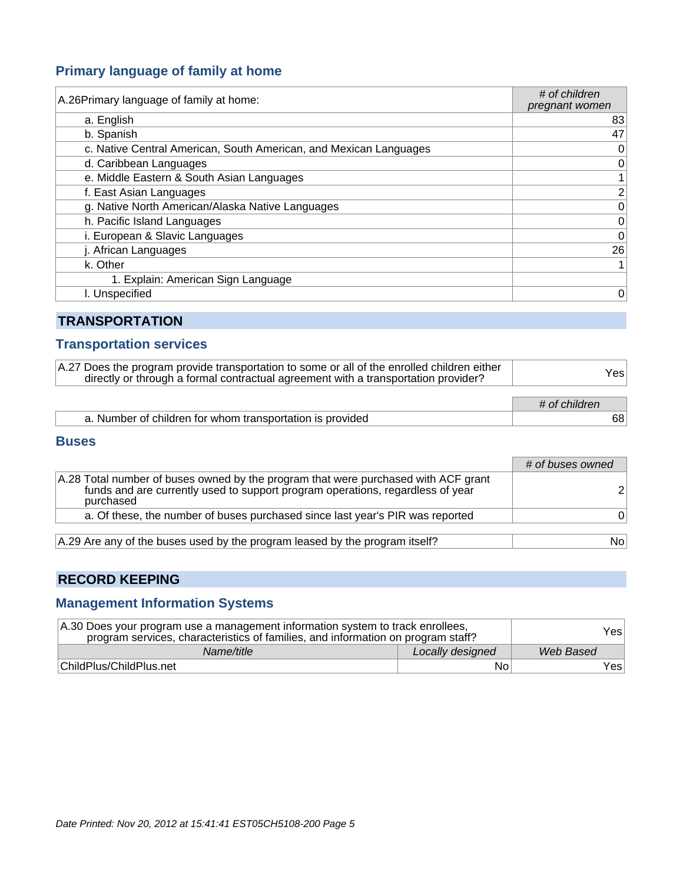### **Primary language of family at home**

| A.26 Primary language of family at home:                          | # of children<br>pregnant women |
|-------------------------------------------------------------------|---------------------------------|
| a. English                                                        | 83                              |
| b. Spanish                                                        | 47                              |
| c. Native Central American, South American, and Mexican Languages | 0                               |
| d. Caribbean Languages                                            | 0                               |
| e. Middle Eastern & South Asian Languages                         |                                 |
| f. East Asian Languages                                           | $\overline{2}$                  |
| g. Native North American/Alaska Native Languages                  | $\mathbf 0$                     |
| h. Pacific Island Languages                                       | $\pmb{0}$                       |
| i. European & Slavic Languages                                    | $\mathbf 0$                     |
| j. African Languages                                              | 26                              |
| k. Other                                                          |                                 |
| 1. Explain: American Sign Language                                |                                 |
| l. Unspecified                                                    | 0                               |

### **TRANSPORTATION**

### **Transportation services**

| A.27 Does the program provide transportation to some or all of the enrolled children either<br>directly or through a formal contractual agreement with a transportation provider? | Yesl          |
|-----------------------------------------------------------------------------------------------------------------------------------------------------------------------------------|---------------|
|                                                                                                                                                                                   | # of children |
| a. Number of children for whom transportation is provided                                                                                                                         | 68            |

#### **Buses**

|                                                                                                                                                                                   | # of buses owned |
|-----------------------------------------------------------------------------------------------------------------------------------------------------------------------------------|------------------|
| A.28 Total number of buses owned by the program that were purchased with ACF grant<br>funds and are currently used to support program operations, regardless of year<br>purchased |                  |
| a. Of these, the number of buses purchased since last year's PIR was reported                                                                                                     |                  |
| A.29 Are any of the buses used by the program leased by the program itself?                                                                                                       | Nol              |

### **RECORD KEEPING**

### **Management Information Systems**

| A.30 Does your program use a management information system to track enrollees,<br>program services, characteristics of families, and information on program staff? |                  | Yesl      |
|--------------------------------------------------------------------------------------------------------------------------------------------------------------------|------------------|-----------|
| Name/title                                                                                                                                                         | Locally designed | Web Based |
| ChildPlus/ChildPlus.net                                                                                                                                            | No               | Yesl      |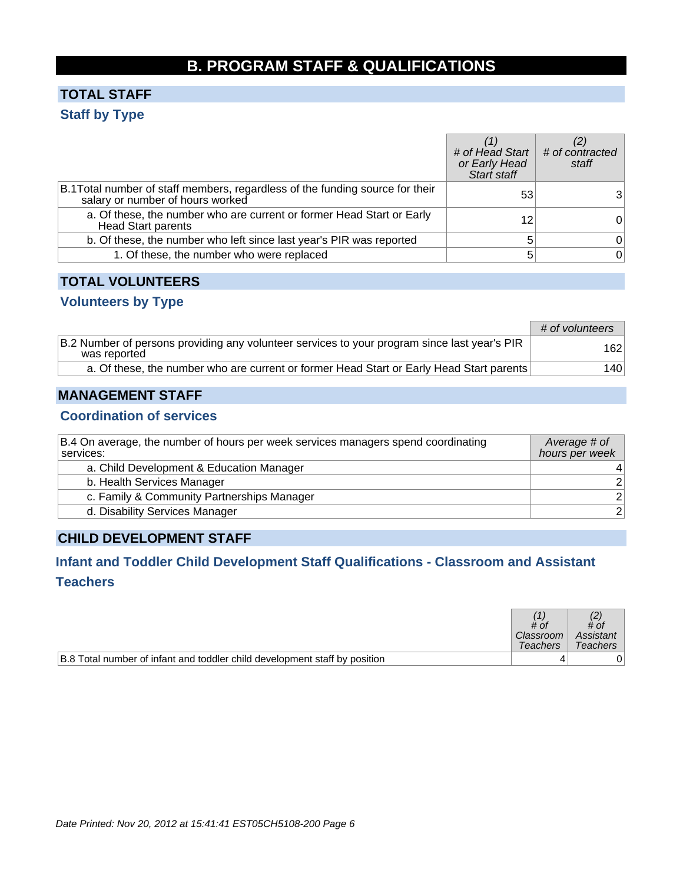# **B. PROGRAM STAFF & QUALIFICATIONS**

## **TOTAL STAFF Staff by Type**

|                                                                                                                   | # of Head Start # of contracted<br>or Early Head<br>Start staff | staff |
|-------------------------------------------------------------------------------------------------------------------|-----------------------------------------------------------------|-------|
| B.1 Total number of staff members, regardless of the funding source for their<br>salary or number of hours worked | 53                                                              |       |
| a. Of these, the number who are current or former Head Start or Early<br><b>Head Start parents</b>                | 12                                                              | 0     |
| b. Of these, the number who left since last year's PIR was reported                                               | 5                                                               | 0     |
| 1. Of these, the number who were replaced                                                                         | 5                                                               | 0     |

### **TOTAL VOLUNTEERS**

### **Volunteers by Type**

|                                                                                                              | # of volunteers |
|--------------------------------------------------------------------------------------------------------------|-----------------|
| B.2 Number of persons providing any volunteer services to your program since last year's PIR<br>was reported | 162             |
| a. Of these, the number who are current or former Head Start or Early Head Start parents                     | 140             |

### **MANAGEMENT STAFF**

### **Coordination of services**

| B.4 On average, the number of hours per week services managers spend coordinating<br>services: | Average # of<br>hours per week |
|------------------------------------------------------------------------------------------------|--------------------------------|
| a. Child Development & Education Manager                                                       |                                |
| b. Health Services Manager                                                                     | 2 <sup>1</sup>                 |
| c. Family & Community Partnerships Manager                                                     | 2 <sup>1</sup>                 |
| d. Disability Services Manager                                                                 | 2 <sup>2</sup>                 |

### **CHILD DEVELOPMENT STAFF**

### **Infant and Toddler Child Development Staff Qualifications - Classroom and Assistant Teachers**

|                                                                            | # of<br>Classroom<br>Teachers | # of<br>Assistant<br><b>Teachers</b> |
|----------------------------------------------------------------------------|-------------------------------|--------------------------------------|
| B.8 Total number of infant and toddler child development staff by position |                               |                                      |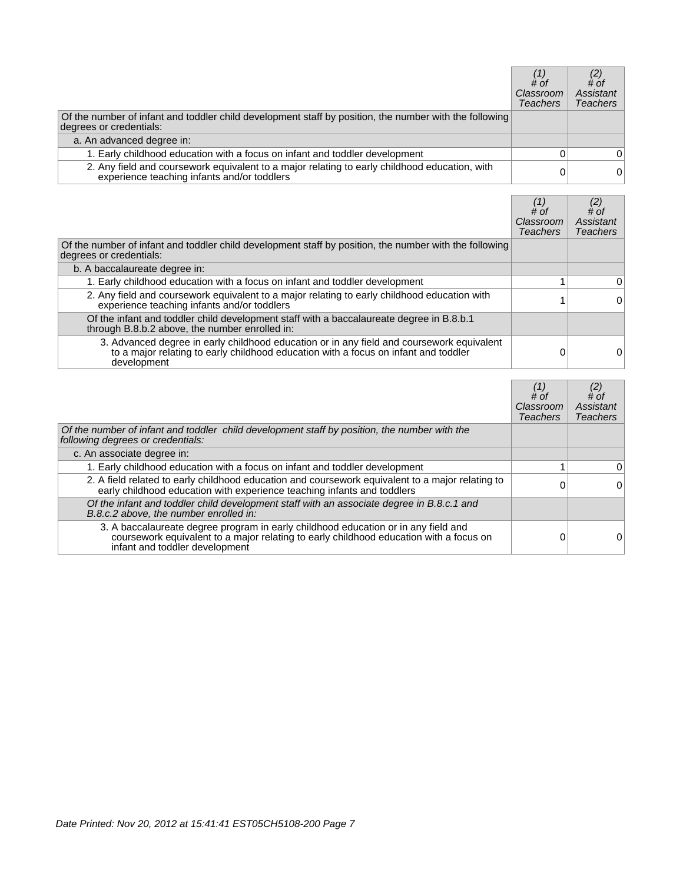|                                                                                                                                              | # of<br>Classroom<br><b>Teachers</b> | $^{(2)}$ # of<br>Assistant<br><b>Teachers</b> |
|----------------------------------------------------------------------------------------------------------------------------------------------|--------------------------------------|-----------------------------------------------|
| Of the number of infant and toddler child development staff by position, the number with the following<br>degrees or credentials:            |                                      |                                               |
| a. An advanced degree in:                                                                                                                    |                                      |                                               |
| 1. Early childhood education with a focus on infant and toddler development                                                                  |                                      | 0                                             |
| 2. Any field and coursework equivalent to a major relating to early childhood education, with<br>experience teaching infants and/or toddlers |                                      | 0                                             |

|                                                                                                                                                                                              | # of<br>Classroom<br><b>Teachers</b> | $#$ of<br>Assistant<br><b>Teachers</b> |
|----------------------------------------------------------------------------------------------------------------------------------------------------------------------------------------------|--------------------------------------|----------------------------------------|
| Of the number of infant and toddler child development staff by position, the number with the following<br>degrees or credentials:                                                            |                                      |                                        |
| b. A baccalaureate degree in:                                                                                                                                                                |                                      |                                        |
| 1. Early childhood education with a focus on infant and toddler development                                                                                                                  |                                      | 0                                      |
| 2. Any field and coursework equivalent to a major relating to early childhood education with<br>experience teaching infants and/or toddlers                                                  |                                      | 0                                      |
| Of the infant and toddler child development staff with a baccalaureate degree in B.8.b.1<br>through B.8.b.2 above, the number enrolled in:                                                   |                                      |                                        |
| 3. Advanced degree in early childhood education or in any field and coursework equivalent to a major relating to early childhood education with a focus on infant and toddler<br>development | 0                                    | 0                                      |

|                                                                                                                                                                                                                | # of<br>Classroom<br><b>Teachers</b> | $\begin{smallmatrix} (2) \\ # \text{ }$<br>Assistant<br><b>Teachers</b> |
|----------------------------------------------------------------------------------------------------------------------------------------------------------------------------------------------------------------|--------------------------------------|-------------------------------------------------------------------------|
| Of the number of infant and toddler child development staff by position, the number with the<br>following degrees or credentials:                                                                              |                                      |                                                                         |
| c. An associate degree in:                                                                                                                                                                                     |                                      |                                                                         |
| 1. Early childhood education with a focus on infant and toddler development                                                                                                                                    |                                      | $\Omega$                                                                |
| 2. A field related to early childhood education and coursework equivalent to a major relating to<br>early childhood education with experience teaching infants and toddlers                                    | 0                                    | 0                                                                       |
| Of the infant and toddler child development staff with an associate degree in B.8.c.1 and<br>B.8.c.2 above, the number enrolled in:                                                                            |                                      |                                                                         |
| 3. A baccalaureate degree program in early childhood education or in any field and<br>coursework equivalent to a major relating to early childhood education with a focus on<br>infant and toddler development | 0                                    |                                                                         |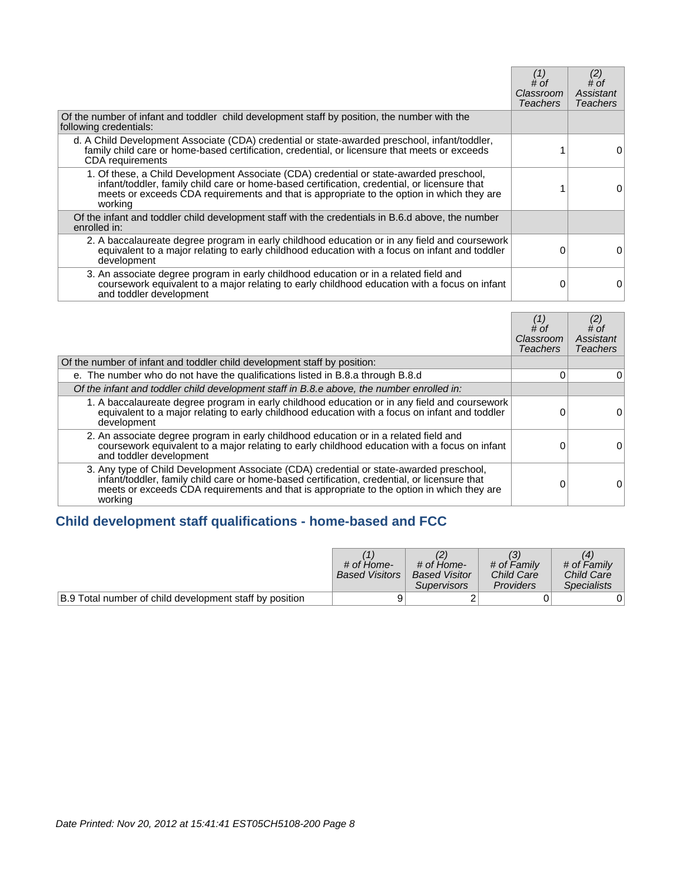|                                                                                                                                                                                                                                                                                                 | (1)<br># of<br>Classroom<br><b>Teachers</b> | (2)<br># of<br>Assistant<br><b>Teachers</b> |
|-------------------------------------------------------------------------------------------------------------------------------------------------------------------------------------------------------------------------------------------------------------------------------------------------|---------------------------------------------|---------------------------------------------|
| Of the number of infant and toddler child development staff by position, the number with the<br>following credentials:                                                                                                                                                                          |                                             |                                             |
| d. A Child Development Associate (CDA) credential or state-awarded preschool, infant/toddler,<br>family child care or home-based certification, credential, or licensure that meets or exceeds<br><b>CDA</b> requirements                                                                       |                                             |                                             |
| 1. Of these, a Child Development Associate (CDA) credential or state-awarded preschool,<br>infant/toddler, family child care or home-based certification, credential, or licensure that<br>meets or exceeds CDA requirements and that is appropriate to the option in which they are<br>working |                                             |                                             |
| Of the infant and toddler child development staff with the credentials in B.6.d above, the number<br>enrolled in:                                                                                                                                                                               |                                             |                                             |
| 2. A baccalaureate degree program in early childhood education or in any field and coursework<br>equivalent to a major relating to early childhood education with a focus on infant and toddler<br>development                                                                                  | ∩                                           | O                                           |
| 3. An associate degree program in early childhood education or in a related field and<br>coursework equivalent to a major relating to early childhood education with a focus on infant<br>and toddler development                                                                               | 0                                           | 0                                           |

|                                                                                                                                                                                                                                                                                                 | # of<br>Classroom<br><b>Teachers</b> | # of<br>Assistant<br>Teachers |
|-------------------------------------------------------------------------------------------------------------------------------------------------------------------------------------------------------------------------------------------------------------------------------------------------|--------------------------------------|-------------------------------|
| Of the number of infant and toddler child development staff by position:                                                                                                                                                                                                                        |                                      |                               |
| e. The number who do not have the qualifications listed in B.8.a through B.8.d                                                                                                                                                                                                                  | 0                                    | 0                             |
| Of the infant and toddler child development staff in B.8.e above, the number enrolled in:                                                                                                                                                                                                       |                                      |                               |
| 1. A baccalaureate degree program in early childhood education or in any field and coursework<br>equivalent to a major relating to early childhood education with a focus on infant and toddler<br>development                                                                                  | 0                                    | 0                             |
| 2. An associate degree program in early childhood education or in a related field and<br>coursework equivalent to a major relating to early childhood education with a focus on infant<br>and toddler development                                                                               |                                      | 0                             |
| 3. Any type of Child Development Associate (CDA) credential or state-awarded preschool,<br>infant/toddler, family child care or home-based certification, credential, or licensure that<br>meets or exceeds CDA requirements and that is appropriate to the option in which they are<br>working |                                      | 0                             |

# **Child development staff qualifications - home-based and FCC**

|                                                         | # of Home-<br><b>Based Visitors</b> | # of Home-<br><b>Based Visitor</b><br><b>Supervisors</b> | # of Family<br>Child Care<br>Providers | # of Family<br>Child Care<br><b>Specialists</b> |
|---------------------------------------------------------|-------------------------------------|----------------------------------------------------------|----------------------------------------|-------------------------------------------------|
| B.9 Total number of child development staff by position |                                     |                                                          |                                        |                                                 |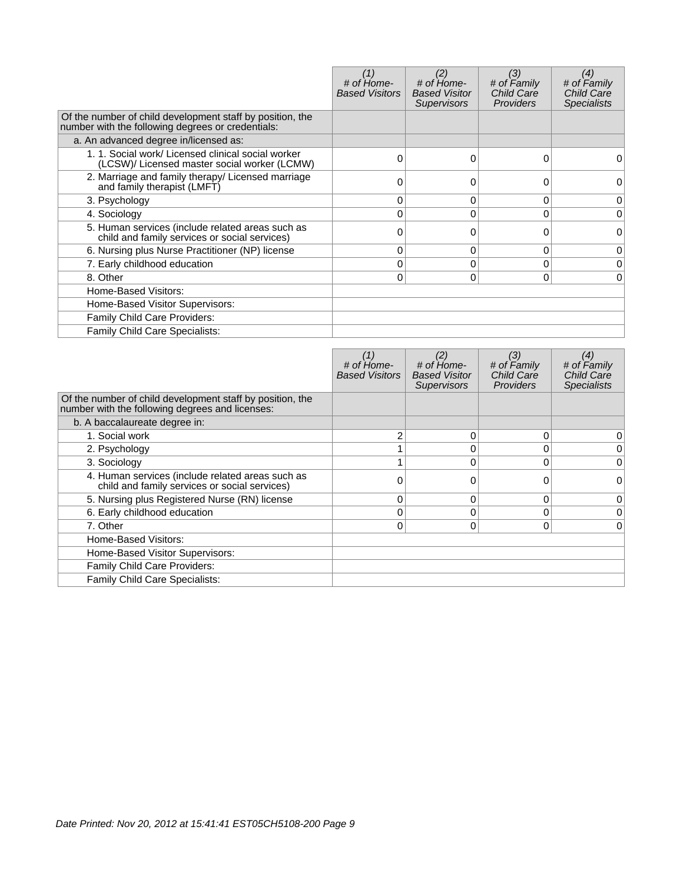|                                                                                                                | # of Home-<br><b>Based Visitors</b> | (2)<br># of Home-<br><b>Based Visitor</b><br><b>Supervisors</b> | (3)<br># of Family<br><b>Child Care</b><br><b>Providers</b> | (4)<br># of Family<br><b>Child Care</b><br><b>Specialists</b> |
|----------------------------------------------------------------------------------------------------------------|-------------------------------------|-----------------------------------------------------------------|-------------------------------------------------------------|---------------------------------------------------------------|
| Of the number of child development staff by position, the<br>number with the following degrees or credentials: |                                     |                                                                 |                                                             |                                                               |
| a. An advanced degree in/licensed as:                                                                          |                                     |                                                                 |                                                             |                                                               |
| 1. 1. Social work/ Licensed clinical social worker<br>(LCSW)/ Licensed master social worker (LCMW)             | 0                                   | 0                                                               | 0                                                           |                                                               |
| 2. Marriage and family therapy/ Licensed marriage<br>and family therapist (LMFT)                               | 0                                   | 0                                                               | 0                                                           | O                                                             |
| 3. Psychology                                                                                                  | 0                                   | 0                                                               | 0                                                           | 0                                                             |
| 4. Sociology                                                                                                   |                                     | U                                                               | $\Omega$                                                    | 0                                                             |
| 5. Human services (include related areas such as<br>child and family services or social services)              | 0                                   | 0                                                               | 0                                                           | 0                                                             |
| 6. Nursing plus Nurse Practitioner (NP) license                                                                | 0                                   | 0                                                               | 0                                                           | 0                                                             |
| 7. Early childhood education                                                                                   | 0                                   | 0                                                               | $\Omega$                                                    | $\Omega$                                                      |
| 8. Other                                                                                                       | $\Omega$                            | 0                                                               | $\mathbf{0}$                                                | 0                                                             |
| Home-Based Visitors:                                                                                           |                                     |                                                                 |                                                             |                                                               |
| Home-Based Visitor Supervisors:                                                                                |                                     |                                                                 |                                                             |                                                               |
| Family Child Care Providers:                                                                                   |                                     |                                                                 |                                                             |                                                               |
| Family Child Care Specialists:                                                                                 |                                     |                                                                 |                                                             |                                                               |

|                                                                                                              | # of Home-<br><b>Based Visitors</b> | # of Home-<br><b>Based Visitor</b><br><b>Supervisors</b> | (3)<br># of Family<br><b>Child Care</b><br><b>Providers</b> | (4)<br># of Family<br><b>Child Care</b><br><b>Specialists</b> |
|--------------------------------------------------------------------------------------------------------------|-------------------------------------|----------------------------------------------------------|-------------------------------------------------------------|---------------------------------------------------------------|
| Of the number of child development staff by position, the<br>number with the following degrees and licenses: |                                     |                                                          |                                                             |                                                               |
| b. A baccalaureate degree in:                                                                                |                                     |                                                          |                                                             |                                                               |
| 1. Social work                                                                                               |                                     | 0                                                        | 0                                                           | 0                                                             |
| 2. Psychology                                                                                                |                                     | 0                                                        | 0                                                           | 0                                                             |
| 3. Sociology                                                                                                 |                                     |                                                          | 0                                                           | 0                                                             |
| 4. Human services (include related areas such as<br>child and family services or social services)            |                                     |                                                          | 0                                                           | 0                                                             |
| 5. Nursing plus Registered Nurse (RN) license                                                                | 0                                   | 0                                                        | $\Omega$                                                    | 0                                                             |
| 6. Early childhood education                                                                                 |                                     |                                                          | 0                                                           | 0                                                             |
| 7. Other                                                                                                     | 0                                   | 0                                                        | 0                                                           | 0                                                             |
| Home-Based Visitors:                                                                                         |                                     |                                                          |                                                             |                                                               |
| Home-Based Visitor Supervisors:                                                                              |                                     |                                                          |                                                             |                                                               |
| Family Child Care Providers:                                                                                 |                                     |                                                          |                                                             |                                                               |
| Family Child Care Specialists:                                                                               |                                     |                                                          |                                                             |                                                               |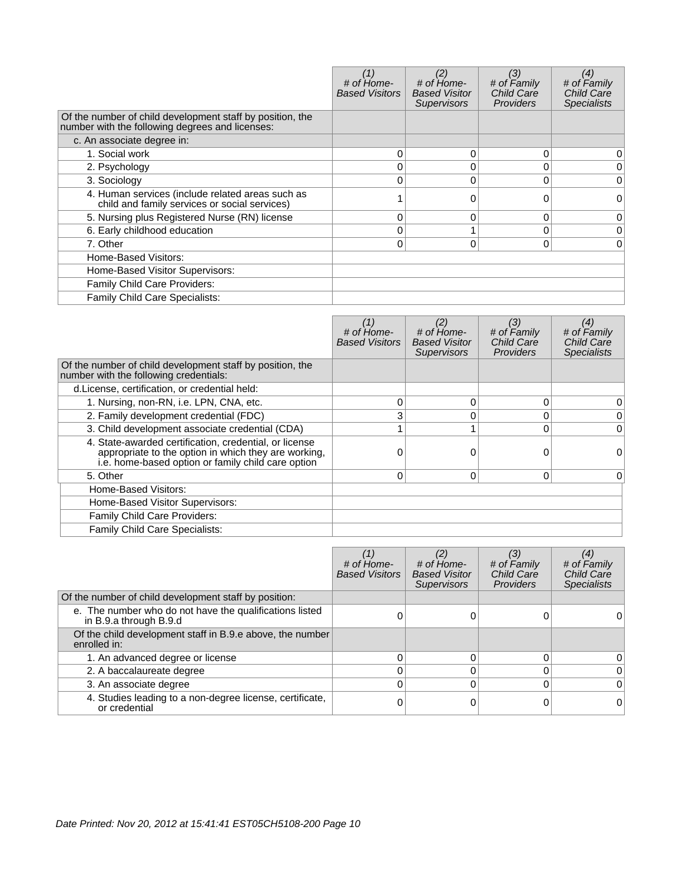|                                                                                                              | # of Home-<br><b>Based Visitors</b> | (2)<br># of Home-<br><b>Based Visitor</b><br><b>Supervisors</b> | (3)<br># of Family<br><b>Child Care</b><br><b>Providers</b> | (4)<br># of Family<br><b>Child Care</b><br><b>Specialists</b> |
|--------------------------------------------------------------------------------------------------------------|-------------------------------------|-----------------------------------------------------------------|-------------------------------------------------------------|---------------------------------------------------------------|
| Of the number of child development staff by position, the<br>number with the following degrees and licenses: |                                     |                                                                 |                                                             |                                                               |
| c. An associate degree in:                                                                                   |                                     |                                                                 |                                                             |                                                               |
| 1. Social work                                                                                               | 0                                   | 0                                                               | $\mathbf{0}$                                                | 0                                                             |
| 2. Psychology                                                                                                | 0                                   |                                                                 | $\Omega$                                                    | 0                                                             |
| 3. Sociology                                                                                                 | 0                                   | 0                                                               | 0                                                           | 0                                                             |
| 4. Human services (include related areas such as<br>child and family services or social services)            |                                     |                                                                 | 0                                                           | 0                                                             |
| 5. Nursing plus Registered Nurse (RN) license                                                                | 0                                   | 0                                                               | $\Omega$                                                    | 0                                                             |
| 6. Early childhood education                                                                                 | 0                                   |                                                                 | 0                                                           | $\Omega$                                                      |
| 7. Other                                                                                                     | $\Omega$                            | 0                                                               | $\Omega$                                                    | 0                                                             |
| Home-Based Visitors:                                                                                         |                                     |                                                                 |                                                             |                                                               |
| Home-Based Visitor Supervisors:                                                                              |                                     |                                                                 |                                                             |                                                               |
| Family Child Care Providers:                                                                                 |                                     |                                                                 |                                                             |                                                               |
| Family Child Care Specialists:                                                                               |                                     |                                                                 |                                                             |                                                               |

|                                                                                                                                                                      | # of Home-<br><b>Based Visitors</b> | # of Home-<br><b>Based Visitor</b><br><b>Supervisors</b> | (3)<br># of Family<br><b>Child Care</b><br><b>Providers</b> | (4)<br># of Family<br><b>Child Care</b><br><b>Specialists</b> |
|----------------------------------------------------------------------------------------------------------------------------------------------------------------------|-------------------------------------|----------------------------------------------------------|-------------------------------------------------------------|---------------------------------------------------------------|
| Of the number of child development staff by position, the<br>number with the following credentials:                                                                  |                                     |                                                          |                                                             |                                                               |
| d.License, certification, or credential held:                                                                                                                        |                                     |                                                          |                                                             |                                                               |
| 1. Nursing, non-RN, i.e. LPN, CNA, etc.                                                                                                                              |                                     | 0                                                        | 0                                                           | 0                                                             |
| 2. Family development credential (FDC)                                                                                                                               | 3                                   | 0                                                        | 0                                                           | $\overline{0}$                                                |
| 3. Child development associate credential (CDA)                                                                                                                      |                                     |                                                          | 0                                                           | $\overline{0}$                                                |
| 4. State-awarded certification, credential, or license<br>appropriate to the option in which they are working,<br>i.e. home-based option or family child care option |                                     |                                                          |                                                             | 0                                                             |
| 5. Other                                                                                                                                                             | 0                                   | 0                                                        | 0                                                           | 0                                                             |
| Home-Based Visitors:                                                                                                                                                 |                                     |                                                          |                                                             |                                                               |
| Home-Based Visitor Supervisors:                                                                                                                                      |                                     |                                                          |                                                             |                                                               |
| Family Child Care Providers:                                                                                                                                         |                                     |                                                          |                                                             |                                                               |
| Family Child Care Specialists:                                                                                                                                       |                                     |                                                          |                                                             |                                                               |

|                                                                                   | # of Home-<br><b>Based Visitors</b> | # of Home-<br><b>Based Visitor</b><br><b>Supervisors</b> | (3)<br># of Family<br>Child Care<br>Providers | (4)<br># of Family<br>Child Care<br><b>Specialists</b> |
|-----------------------------------------------------------------------------------|-------------------------------------|----------------------------------------------------------|-----------------------------------------------|--------------------------------------------------------|
| Of the number of child development staff by position:                             |                                     |                                                          |                                               |                                                        |
| e. The number who do not have the qualifications listed<br>in B.9.a through B.9.d |                                     |                                                          |                                               |                                                        |
| Of the child development staff in B.9.e above, the number<br>enrolled in:         |                                     |                                                          |                                               |                                                        |
| 1. An advanced degree or license                                                  |                                     |                                                          |                                               |                                                        |
| 2. A baccalaureate degree                                                         |                                     |                                                          |                                               | 0                                                      |
| 3. An associate degree                                                            |                                     |                                                          |                                               | $\overline{0}$                                         |
| 4. Studies leading to a non-degree license, certificate,<br>or credential         |                                     |                                                          |                                               | 0                                                      |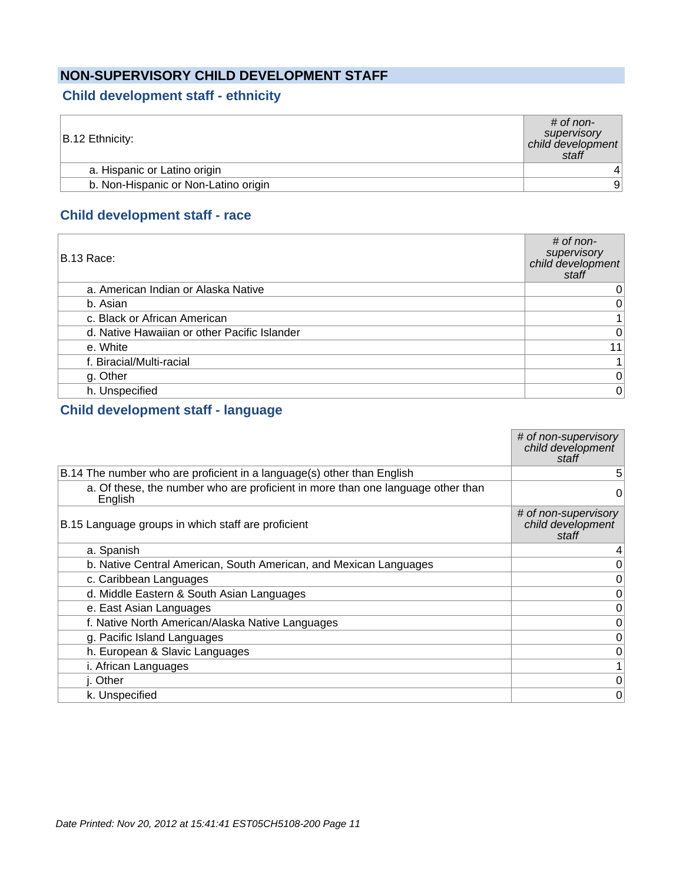### **NON-SUPERVISORY CHILD DEVELOPMENT STAFF**

### **Child development staff - ethnicity**

| B.12 Ethnicity:                      | $\#$ of non-<br>supervisory<br>child development<br>staff |
|--------------------------------------|-----------------------------------------------------------|
| a. Hispanic or Latino origin         |                                                           |
| b. Non-Hispanic or Non-Latino origin | 9                                                         |
|                                      |                                                           |

### **Child development staff - race**

| B.13 Race:                                   | $#$ of non-<br>supervisory<br>child development<br>staff |
|----------------------------------------------|----------------------------------------------------------|
| a. American Indian or Alaska Native          | 0                                                        |
| b. Asian                                     | $\boldsymbol{0}$                                         |
| c. Black or African American                 | $\mathbf{1}$                                             |
| d. Native Hawaiian or other Pacific Islander | $\overline{0}$                                           |
| e. White                                     | 11                                                       |
| f. Biracial/Multi-racial                     | $\mathbf{1}$                                             |
| g. Other                                     | $\pmb{0}$                                                |
| h. Unspecified                               | $\overline{0}$                                           |

### **Child development staff - language**

|                                                                                            | # of non-supervisory<br>child development<br>staff |
|--------------------------------------------------------------------------------------------|----------------------------------------------------|
| B.14 The number who are proficient in a language(s) other than English                     | 5                                                  |
| a. Of these, the number who are proficient in more than one language other than<br>English | 0                                                  |
| B.15 Language groups in which staff are proficient                                         | # of non-supervisory<br>child development<br>staff |
| a. Spanish                                                                                 | 4                                                  |
| b. Native Central American, South American, and Mexican Languages                          | 0                                                  |
| c. Caribbean Languages                                                                     | 0                                                  |
| d. Middle Eastern & South Asian Languages                                                  | 0                                                  |
| e. East Asian Languages                                                                    | 0                                                  |
| f. Native North American/Alaska Native Languages                                           | 0                                                  |
| g. Pacific Island Languages                                                                | 0                                                  |
| h. European & Slavic Languages                                                             | 0                                                  |
| i. African Languages                                                                       | $\mathbf{1}$                                       |
| j. Other                                                                                   | 0                                                  |
| k. Unspecified                                                                             | 0                                                  |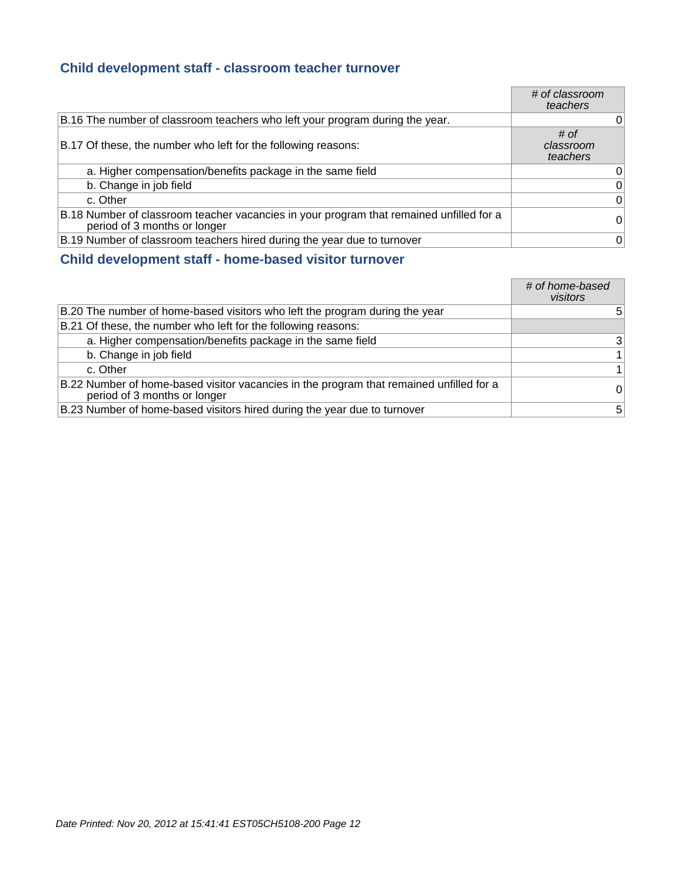### **Child development staff - classroom teacher turnover**

|                                                                                                                         | # of classroom<br>teachers    |
|-------------------------------------------------------------------------------------------------------------------------|-------------------------------|
| B.16 The number of classroom teachers who left your program during the year.                                            | 0                             |
| B.17 Of these, the number who left for the following reasons:                                                           | # of<br>classroom<br>teachers |
| a. Higher compensation/benefits package in the same field                                                               | 0                             |
| b. Change in job field                                                                                                  | 0                             |
| c. Other                                                                                                                | $\Omega$                      |
| B.18 Number of classroom teacher vacancies in your program that remained unfilled for a<br>period of 3 months or longer | 0                             |
| B.19 Number of classroom teachers hired during the year due to turnover                                                 | 0                             |

### **Child development staff - home-based visitor turnover**

|                                                                                                                         | # of home-based<br>visitors |
|-------------------------------------------------------------------------------------------------------------------------|-----------------------------|
| B.20 The number of home-based visitors who left the program during the year                                             | 5                           |
| B.21 Of these, the number who left for the following reasons:                                                           |                             |
| a. Higher compensation/benefits package in the same field                                                               | 3                           |
| b. Change in job field                                                                                                  | $\mathbf{1}$                |
| c. Other                                                                                                                | $\mathbf{1}$                |
| B.22 Number of home-based visitor vacancies in the program that remained unfilled for a<br>period of 3 months or longer | $\overline{0}$              |
| B.23 Number of home-based visitors hired during the year due to turnover                                                | 5                           |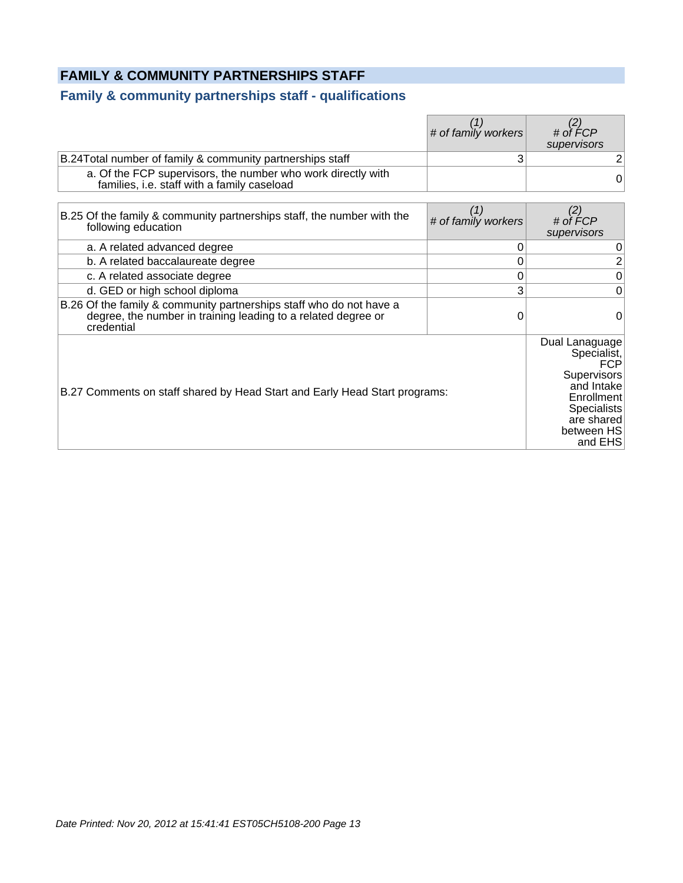### **FAMILY & COMMUNITY PARTNERSHIPS STAFF**

### **Family & community partnerships staff - qualifications**

|                                                                                                                                                    | (1)<br># of family workers | (2)<br># of FCP<br>supervisors                                                                                                                      |
|----------------------------------------------------------------------------------------------------------------------------------------------------|----------------------------|-----------------------------------------------------------------------------------------------------------------------------------------------------|
| B.24 Total number of family & community partnerships staff                                                                                         | 3                          | $\mathbf{2}$                                                                                                                                        |
| a. Of the FCP supervisors, the number who work directly with<br>families, i.e. staff with a family caseload                                        |                            | $\overline{0}$                                                                                                                                      |
| B.25 Of the family & community partnerships staff, the number with the<br>following education                                                      | (1)<br># of family workers | (2)<br># of FCP<br>supervisors                                                                                                                      |
| a. A related advanced degree                                                                                                                       |                            | 0                                                                                                                                                   |
| b. A related baccalaureate degree                                                                                                                  | 0                          | $\overline{2}$                                                                                                                                      |
| c. A related associate degree                                                                                                                      | 0                          | $\pmb{0}$                                                                                                                                           |
| d. GED or high school diploma                                                                                                                      | 3                          | $\overline{0}$                                                                                                                                      |
| B.26 Of the family & community partnerships staff who do not have a<br>degree, the number in training leading to a related degree or<br>credential | 0                          | 0                                                                                                                                                   |
| B.27 Comments on staff shared by Head Start and Early Head Start programs:                                                                         |                            | Dual Lanaguage<br>Specialist,<br>FCP<br>Supervisors<br>and Intake<br><b>Enrollment</b><br><b>Specialists</b><br>are shared<br>between HS<br>and EHS |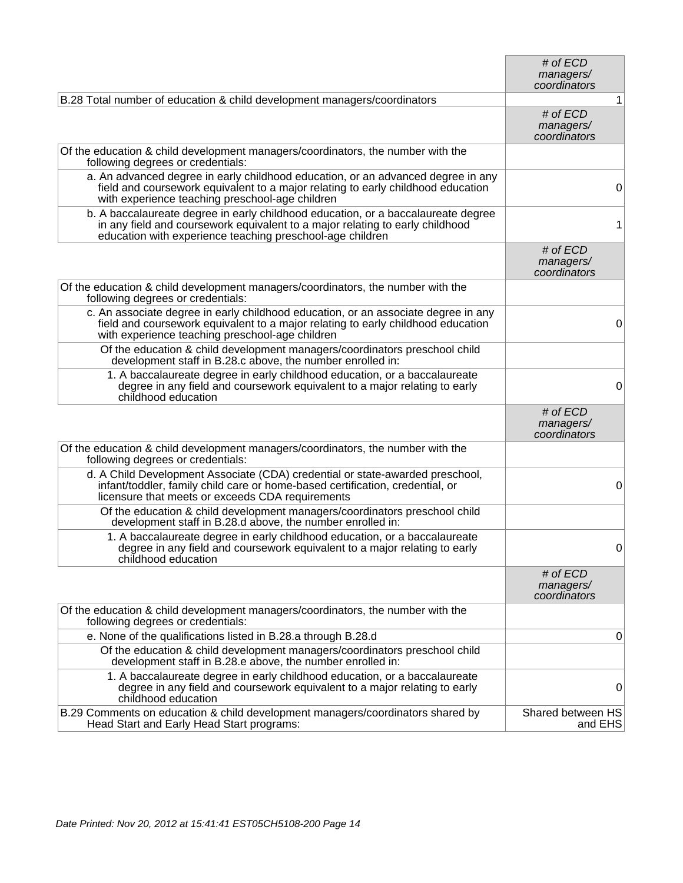|                                                                                                                                                                                                                                 | # of ECD<br>managers/<br>coordinators   |
|---------------------------------------------------------------------------------------------------------------------------------------------------------------------------------------------------------------------------------|-----------------------------------------|
| B.28 Total number of education & child development managers/coordinators                                                                                                                                                        | 1                                       |
|                                                                                                                                                                                                                                 | # of ECD<br>managers/<br>coordinators   |
| Of the education & child development managers/coordinators, the number with the<br>following degrees or credentials:                                                                                                            |                                         |
| a. An advanced degree in early childhood education, or an advanced degree in any<br>field and coursework equivalent to a major relating to early childhood education<br>with experience teaching preschool-age children         | 0                                       |
| b. A baccalaureate degree in early childhood education, or a baccalaureate degree<br>in any field and coursework equivalent to a major relating to early childhood<br>education with experience teaching preschool-age children | 1                                       |
|                                                                                                                                                                                                                                 | # of ECD<br>managers/<br>coordinators   |
| Of the education & child development managers/coordinators, the number with the<br>following degrees or credentials:                                                                                                            |                                         |
| c. An associate degree in early childhood education, or an associate degree in any<br>field and coursework equivalent to a major relating to early childhood education<br>with experience teaching preschool-age children       | 0                                       |
| Of the education & child development managers/coordinators preschool child<br>development staff in B.28.c above, the number enrolled in:                                                                                        |                                         |
| 1. A baccalaureate degree in early childhood education, or a baccalaureate<br>degree in any field and coursework equivalent to a major relating to early<br>childhood education                                                 | 0                                       |
|                                                                                                                                                                                                                                 | # of $ECD$<br>managers/<br>coordinators |
| Of the education & child development managers/coordinators, the number with the<br>following degrees or credentials:                                                                                                            |                                         |
| d. A Child Development Associate (CDA) credential or state-awarded preschool,<br>infant/toddler, family child care or home-based certification, credential, or<br>licensure that meets or exceeds CDA requirements              | 0                                       |
| Of the education & child development managers/coordinators preschool child<br>development staff in B.28.d above, the number enrolled in:                                                                                        |                                         |
| 1. A baccalaureate degree in early childhood education, or a baccalaureate<br>degree in any field and coursework equivalent to a major relating to early<br>childhood education                                                 | 0                                       |
|                                                                                                                                                                                                                                 | # of $ECD$<br>managers/<br>coordinators |
| Of the education & child development managers/coordinators, the number with the<br>following degrees or credentials:                                                                                                            |                                         |
| e. None of the qualifications listed in B.28.a through B.28.d                                                                                                                                                                   | 0                                       |
| Of the education & child development managers/coordinators preschool child<br>development staff in B.28.e above, the number enrolled in:                                                                                        |                                         |
| 1. A baccalaureate degree in early childhood education, or a baccalaureate<br>degree in any field and coursework equivalent to a major relating to early<br>childhood education                                                 | 0                                       |
| B.29 Comments on education & child development managers/coordinators shared by<br>Head Start and Early Head Start programs:                                                                                                     | Shared between HS<br>and EHS            |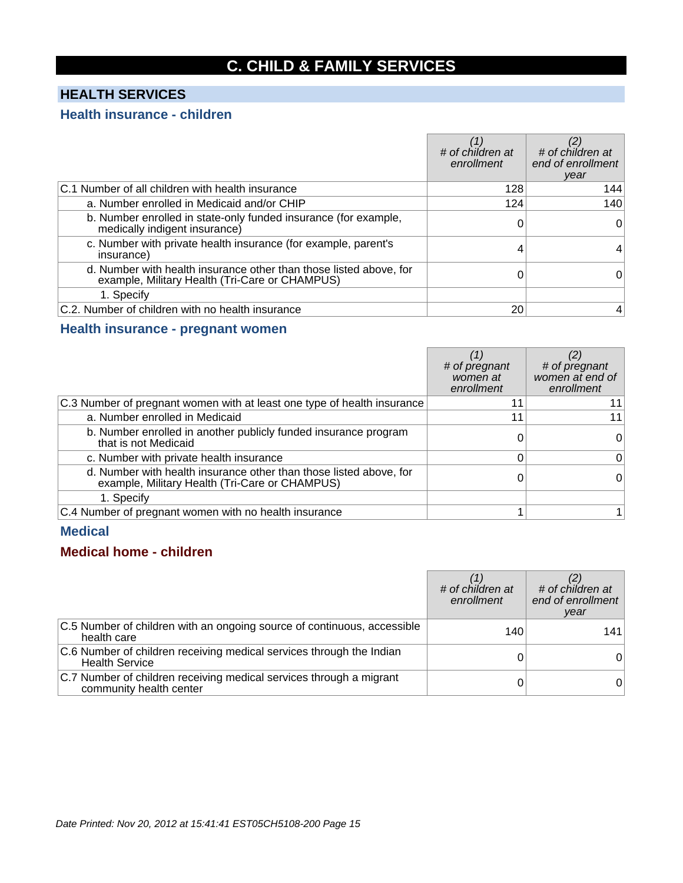# **C. CHILD & FAMILY SERVICES**

### **HEALTH SERVICES**

### **Health insurance - children**

|                                                                                                                      | # of children at<br>enrollment | # of children at<br>end of enrollment<br>year |
|----------------------------------------------------------------------------------------------------------------------|--------------------------------|-----------------------------------------------|
| C.1 Number of all children with health insurance                                                                     | 128                            | 144                                           |
| a. Number enrolled in Medicaid and/or CHIP                                                                           | 124                            | 140                                           |
| b. Number enrolled in state-only funded insurance (for example,<br>medically indigent insurance)                     |                                | 0                                             |
| c. Number with private health insurance (for example, parent's<br>insurance)                                         | 4                              |                                               |
| d. Number with health insurance other than those listed above, for<br>example, Military Health (Tri-Care or CHAMPUS) |                                | 0                                             |
| 1. Specify                                                                                                           |                                |                                               |
| C.2. Number of children with no health insurance                                                                     | 20                             | 4                                             |

### **Health insurance - pregnant women**

|                                                                                                                      | # of pregnant<br>women at<br>enrollment | # of pregnant<br>women at end of<br>enrollment |
|----------------------------------------------------------------------------------------------------------------------|-----------------------------------------|------------------------------------------------|
| C.3 Number of pregnant women with at least one type of health insurance                                              | 11                                      | 11                                             |
| a. Number enrolled in Medicaid                                                                                       |                                         | 11                                             |
| b. Number enrolled in another publicly funded insurance program<br>that is not Medicaid                              |                                         | Ω                                              |
| c. Number with private health insurance                                                                              |                                         | 0                                              |
| d. Number with health insurance other than those listed above, for<br>example, Military Health (Tri-Care or CHAMPUS) |                                         |                                                |
| 1. Specify                                                                                                           |                                         |                                                |
| C.4 Number of pregnant women with no health insurance                                                                |                                         |                                                |

#### **Medical**

### **Medical home - children**

|                                                                                                | # of children at<br>enrollment | # of children at<br>end of enrollment<br>year |
|------------------------------------------------------------------------------------------------|--------------------------------|-----------------------------------------------|
| C.5 Number of children with an ongoing source of continuous, accessible<br>health care         | 140                            | 141                                           |
| C.6 Number of children receiving medical services through the Indian<br><b>Health Service</b>  |                                |                                               |
| C.7 Number of children receiving medical services through a migrant<br>community health center |                                |                                               |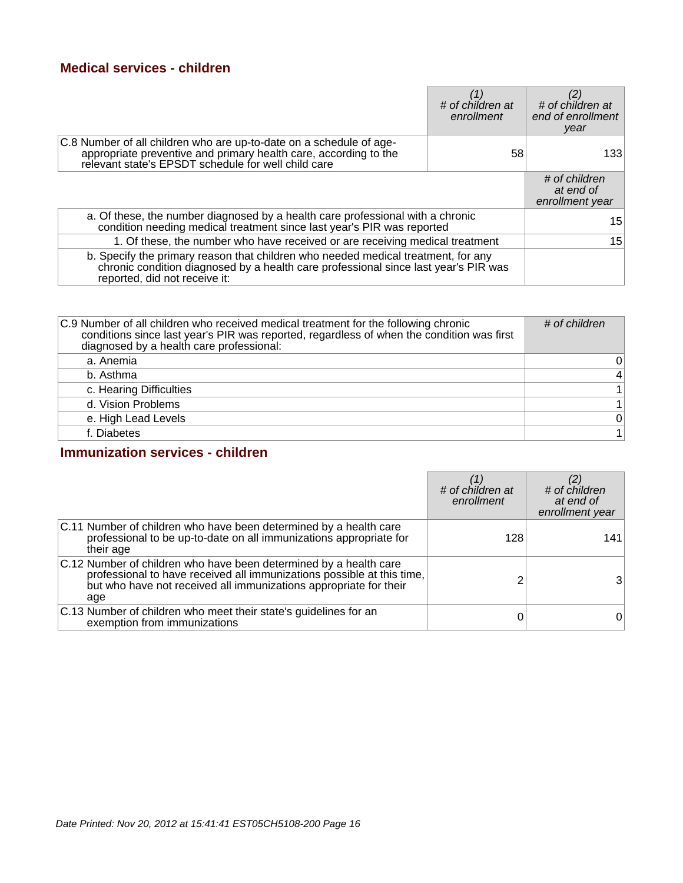### **Medical services - children**

|                                                                                                                                                                                                           | # of children at<br>enrollment | # of children at<br>end of enrollment<br>year |
|-----------------------------------------------------------------------------------------------------------------------------------------------------------------------------------------------------------|--------------------------------|-----------------------------------------------|
| C.8 Number of all children who are up-to-date on a schedule of age-<br>appropriate preventive and primary health care, according to the<br>relevant state's EPSDT schedule for well child care            | 58                             | 1331                                          |
|                                                                                                                                                                                                           |                                | # of children<br>at end of<br>enrollment year |
| a. Of these, the number diagnosed by a health care professional with a chronic<br>condition needing medical treatment since last year's PIR was reported                                                  |                                | 15                                            |
| 1. Of these, the number who have received or are receiving medical treatment                                                                                                                              |                                | 15                                            |
| b. Specify the primary reason that children who needed medical treatment, for any<br>chronic condition diagnosed by a health care professional since last year's PIR was<br>reported, did not receive it: |                                |                                               |

| C.9 Number of all children who received medical treatment for the following chronic<br>conditions since last year's PIR was reported, regardless of when the condition was first<br>diagnosed by a health care professional: | # of children   |
|------------------------------------------------------------------------------------------------------------------------------------------------------------------------------------------------------------------------------|-----------------|
| a. Anemia                                                                                                                                                                                                                    | 0               |
| b. Asthma                                                                                                                                                                                                                    | $\vert 4 \vert$ |
| c. Hearing Difficulties                                                                                                                                                                                                      |                 |
| d. Vision Problems                                                                                                                                                                                                           |                 |
| e. High Lead Levels                                                                                                                                                                                                          | 0               |
| f. Diabetes                                                                                                                                                                                                                  |                 |

### **Immunization services - children**

|                                                                                                                                                                                                                         | # of children at<br>enrollment | $\stackrel{(\mathcal{L})}{\#}$ of children<br>at end of<br>enrollment year |
|-------------------------------------------------------------------------------------------------------------------------------------------------------------------------------------------------------------------------|--------------------------------|----------------------------------------------------------------------------|
| C.11 Number of children who have been determined by a health care<br>professional to be up-to-date on all immunizations appropriate for<br>their age                                                                    | 128                            | 141                                                                        |
| C.12 Number of children who have been determined by a health care<br>professional to have received all immunizations possible at this time,<br>but who have not received all immunizations appropriate for their<br>age |                                | 31                                                                         |
| C.13 Number of children who meet their state's guidelines for an<br>exemption from immunizations                                                                                                                        |                                | 0                                                                          |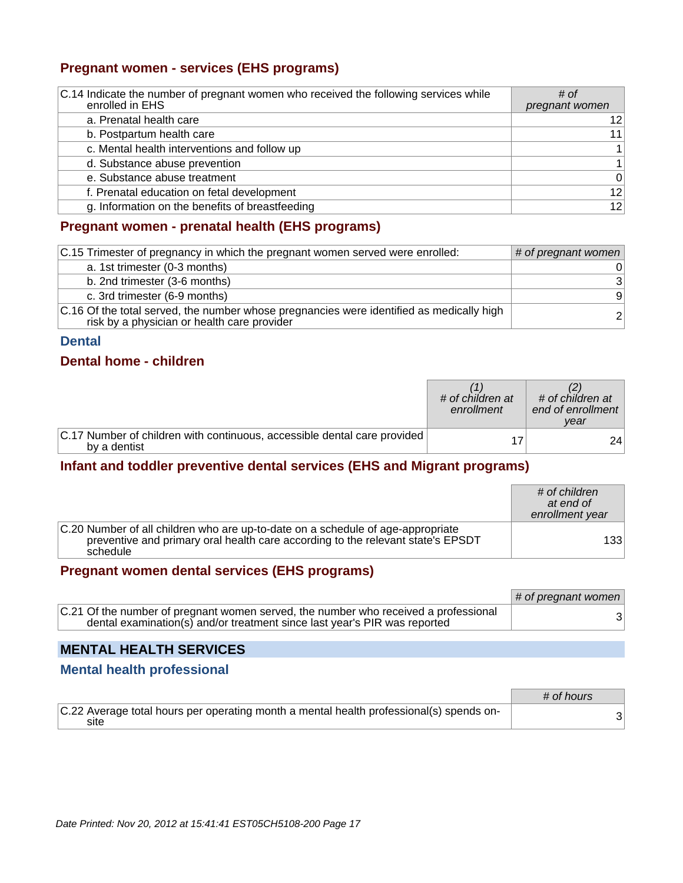### **Pregnant women - services (EHS programs)**

| C.14 Indicate the number of pregnant women who received the following services while<br>enrolled in EHS | # of<br>pregnant women |
|---------------------------------------------------------------------------------------------------------|------------------------|
| a. Prenatal health care                                                                                 | 12                     |
| b. Postpartum health care                                                                               | 11                     |
| c. Mental health interventions and follow up                                                            | $\mathbf{1}$           |
| d. Substance abuse prevention                                                                           | $\mathbf{1}$           |
| e. Substance abuse treatment                                                                            | $\overline{0}$         |
| f. Prenatal education on fetal development                                                              | 12                     |
| g. Information on the benefits of breastfeeding                                                         | 12                     |

### **Pregnant women - prenatal health (EHS programs)**

| C.15 Trimester of pregnancy in which the pregnant women served were enrolled:                                                           | # of pregnant women |
|-----------------------------------------------------------------------------------------------------------------------------------------|---------------------|
| a. 1st trimester (0-3 months)                                                                                                           | 0                   |
| b. 2nd trimester (3-6 months)                                                                                                           | 3                   |
| c. 3rd trimester (6-9 months)                                                                                                           | 9                   |
| C.16 Of the total served, the number whose pregnancies were identified as medically high<br>risk by a physician or health care provider | $\overline{2}$      |

#### **Dental**

#### **Dental home - children**

|                                                                                          | # of children at<br>enrollment | # of children at<br>end of enrollment<br>vear |
|------------------------------------------------------------------------------------------|--------------------------------|-----------------------------------------------|
| C.17 Number of children with continuous, accessible dental care provided<br>by a dentist |                                | 24                                            |

### **Infant and toddler preventive dental services (EHS and Migrant programs)**

|                                                                                                                                                                                | # of children<br>at end of<br>enrollment year |
|--------------------------------------------------------------------------------------------------------------------------------------------------------------------------------|-----------------------------------------------|
| C.20 Number of all children who are up-to-date on a schedule of age-appropriate<br>preventive and primary oral health care according to the relevant state's EPSDT<br>schedule | 133                                           |

### **Pregnant women dental services (EHS programs)**

|                                                                                                                                                                  | $#$ of pregnant women |
|------------------------------------------------------------------------------------------------------------------------------------------------------------------|-----------------------|
| C.21 Of the number of pregnant women served, the number who received a professional<br>dental examination(s) and/or treatment since last year's PIR was reported | 3                     |

### **MENTAL HEALTH SERVICES**

### **Mental health professional**

|                                                                                                 | # of hours |
|-------------------------------------------------------------------------------------------------|------------|
| C.22 Average total hours per operating month a mental health professional(s) spends on-<br>site |            |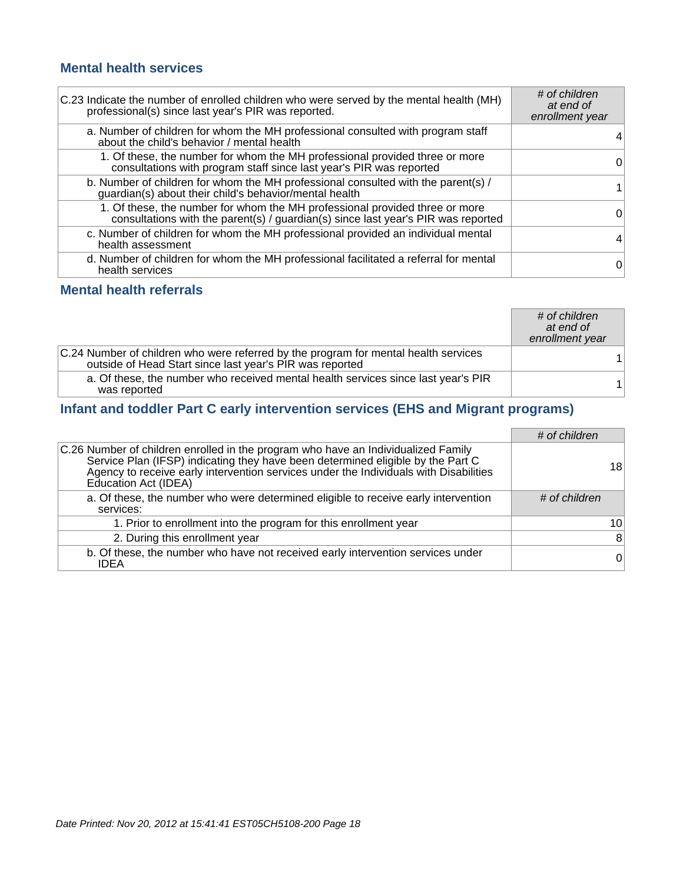### **Mental health services**

| C.23 Indicate the number of enrolled children who were served by the mental health (MH)<br>professional(s) since last year's PIR was reported.                | # of children<br>at end of<br>enrollment year |
|---------------------------------------------------------------------------------------------------------------------------------------------------------------|-----------------------------------------------|
| a. Number of children for whom the MH professional consulted with program staff<br>about the child's behavior / mental health                                 |                                               |
| 1. Of these, the number for whom the MH professional provided three or more<br>consultations with program staff since last year's PIR was reported            | 0                                             |
| b. Number of children for whom the MH professional consulted with the parent(s) /<br>guardian(s) about their child's behavior/mental health                   |                                               |
| 1. Of these, the number for whom the MH professional provided three or more consultations with the parent(s) / guardian(s) since last year's PIR was reported | 0                                             |
| c. Number of children for whom the MH professional provided an individual mental<br>health assessment                                                         | 4                                             |
| d. Number of children for whom the MH professional facilitated a referral for mental<br>health services                                                       | 0                                             |

### **Mental health referrals**

|                                                                                                                                                 | # of children<br>at end of<br>enrollment year |
|-------------------------------------------------------------------------------------------------------------------------------------------------|-----------------------------------------------|
| C.24 Number of children who were referred by the program for mental health services<br>outside of Head Start since last year's PIR was reported |                                               |
| a. Of these, the number who received mental health services since last year's PIR<br>was reported                                               |                                               |

### **Infant and toddler Part C early intervention services (EHS and Migrant programs)**

|                                                                                                                                                                                                                                                                                       | # of children   |
|---------------------------------------------------------------------------------------------------------------------------------------------------------------------------------------------------------------------------------------------------------------------------------------|-----------------|
| C.26 Number of children enrolled in the program who have an Individualized Family<br>Service Plan (IFSP) indicating they have been determined eligible by the Part C<br>Agency to receive early intervention services under the Individuals with Disabilities<br>Education Act (IDEA) | 18              |
| a. Of these, the number who were determined eligible to receive early intervention<br>services:                                                                                                                                                                                       | # of children   |
| 1. Prior to enrollment into the program for this enrollment year                                                                                                                                                                                                                      | 10 <sup>1</sup> |
| 2. During this enrollment year                                                                                                                                                                                                                                                        | 8               |
| b. Of these, the number who have not received early intervention services under<br><b>IDEA</b>                                                                                                                                                                                        | $\overline{0}$  |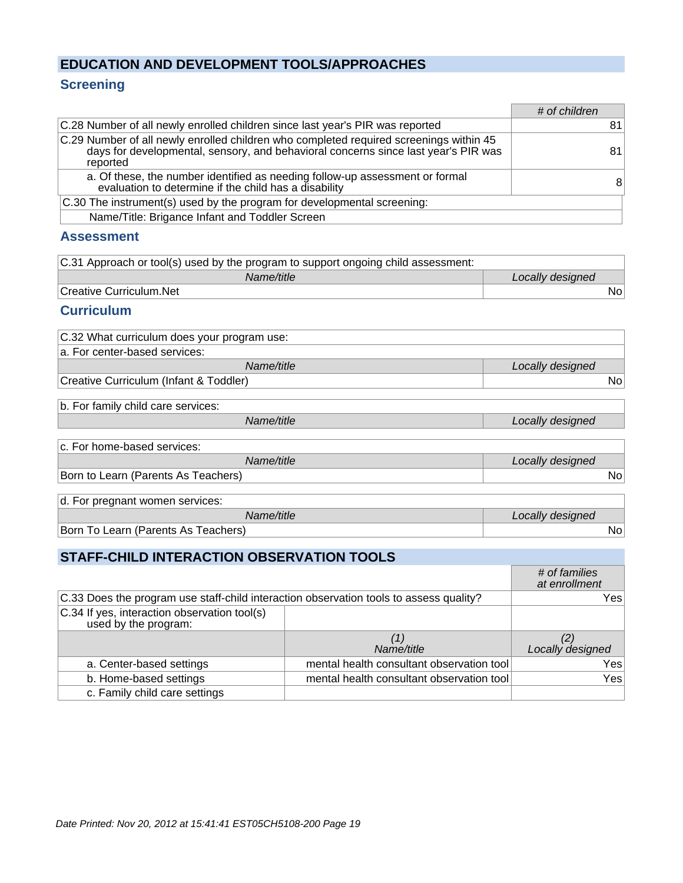### **EDUCATION AND DEVELOPMENT TOOLS/APPROACHES**

### **Screening**

|                                                                                                                                                                                          | # of children |
|------------------------------------------------------------------------------------------------------------------------------------------------------------------------------------------|---------------|
| C.28 Number of all newly enrolled children since last year's PIR was reported                                                                                                            | 81            |
| C.29 Number of all newly enrolled children who completed required screenings within 45<br>days for developmental, sensory, and behavioral concerns since last year's PIR was<br>reported | 81            |
| a. Of these, the number identified as needing follow-up assessment or formal<br>evaluation to determine if the child has a disability                                                    | 8             |
| C.30 The instrument(s) used by the program for developmental screening:                                                                                                                  |               |
| <b>Brigance Infant and Toddler Screen</b><br>Name/Title:                                                                                                                                 |               |

#### **Assessment**

| C.31 Approach or tool(s) used by the program to support ongoing child assessment: |                  |
|-----------------------------------------------------------------------------------|------------------|
| Name/title                                                                        | Locally designed |
| Creative Curriculum.Net                                                           | Nol              |

#### **Curriculum**

| C.32 What curriculum does your program use: |                  |
|---------------------------------------------|------------------|
| a. For center-based services:               |                  |
| Name/title                                  | Locally designed |
| Creative Curriculum (Infant & Toddler)      | No⊥              |

b. For family child care services:

Name/title **Locally designed** 

| Ic. For home-based services:        |                  |
|-------------------------------------|------------------|
| Name/title                          | Locally designed |
| Born to Learn (Parents As Teachers) | No.              |

d. For pregnant women services:

| .                                        |                  |
|------------------------------------------|------------------|
| ıme/title                                | Locally designed |
| Born To L<br>Learn (Parents As Teachers) | N0,              |

### **STAFF-CHILD INTERACTION OBSERVATION TOOLS**

|                                                                                        |                                           | # of families<br>at enrollment |
|----------------------------------------------------------------------------------------|-------------------------------------------|--------------------------------|
| C.33 Does the program use staff-child interaction observation tools to assess quality? |                                           | Yes                            |
| C.34 If yes, interaction observation tool(s)<br>used by the program:                   |                                           |                                |
|                                                                                        |                                           |                                |
|                                                                                        | Name/title                                | Locally designed               |
| a. Center-based settings                                                               | mental health consultant observation tool | Yes                            |
| b. Home-based settings                                                                 | mental health consultant observation tool | Yes                            |
| c. Family child care settings                                                          |                                           |                                |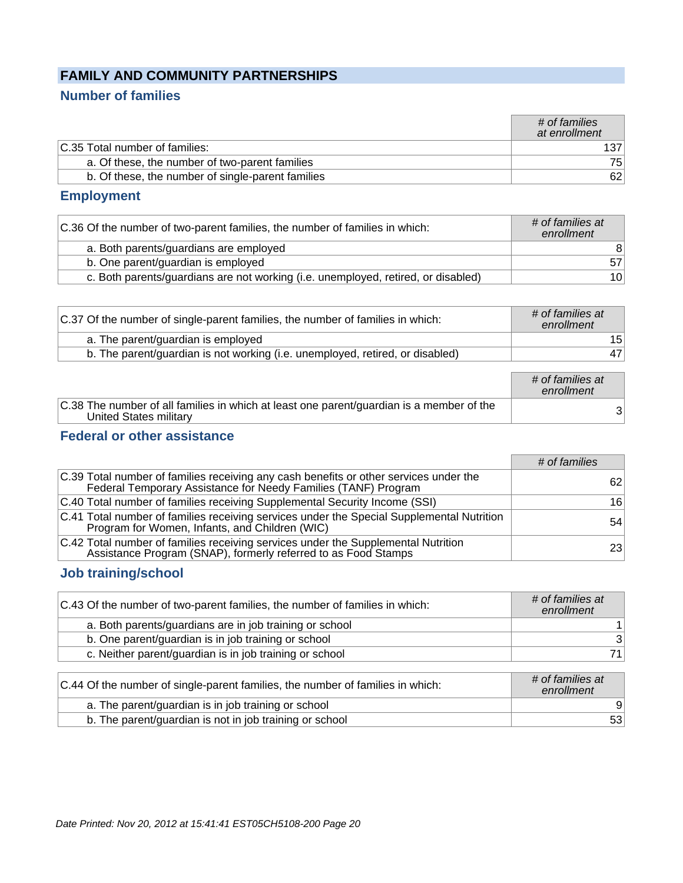### **FAMILY AND COMMUNITY PARTNERSHIPS**

### **Number of families**

|                                                   | # of families<br>at enrollment |
|---------------------------------------------------|--------------------------------|
| C.35 Total number of families:                    |                                |
| a. Of these, the number of two-parent families    | 751                            |
| b. Of these, the number of single-parent families | 62                             |

### **Employment**

| C.36 Of the number of two-parent families, the number of families in which:       | # of families at<br>enrollment |
|-----------------------------------------------------------------------------------|--------------------------------|
| a. Both parents/guardians are employed                                            | 8                              |
| b. One parent/guardian is employed                                                | 57                             |
| c. Both parents/guardians are not working (i.e. unemployed, retired, or disabled) | 10 <sup>1</sup>                |

| C.37 Of the number of single-parent families, the number of families in which: | # of families at<br>enrollment |
|--------------------------------------------------------------------------------|--------------------------------|
| a. The parent/guardian is employed                                             | 15                             |
| b. The parent/guardian is not working (i.e. unemployed, retired, or disabled)  | 47                             |
|                                                                                |                                |

|                                                                                                                    | # of families at<br>enrollment |
|--------------------------------------------------------------------------------------------------------------------|--------------------------------|
| C.38 The number of all families in which at least one parent/guardian is a member of the<br>United States military | ঽ∣                             |

### **Federal or other assistance**

|                                                                                                                                                         | # of families   |
|---------------------------------------------------------------------------------------------------------------------------------------------------------|-----------------|
| C.39 Total number of families receiving any cash benefits or other services under the<br>Federal Temporary Assistance for Needy Families (TANF) Program | 62              |
| C.40 Total number of families receiving Supplemental Security Income (SSI)                                                                              | 16              |
| C.41 Total number of families receiving services under the Special Supplemental Nutrition<br>Program for Women, Infants, and Children (WIC)             | 54              |
| C.42 Total number of families receiving services under the Supplemental Nutrition<br>Assistance Program (SNAP), formerly referred to as Food Stamps     | 23 <sub>1</sub> |

### **Job training/school**

| C.43 Of the number of two-parent families, the number of families in which: | # of families at<br>enrollment |
|-----------------------------------------------------------------------------|--------------------------------|
| a. Both parents/guardians are in job training or school                     |                                |
| b. One parent/guardian is in job training or school                         | 3                              |
| c. Neither parent/guardian is in job training or school                     | 71.                            |

| C.44 Of the number of single-parent families, the number of families in which: | # of families at<br>enrollment |
|--------------------------------------------------------------------------------|--------------------------------|
| a. The parent/guardian is in job training or school                            |                                |
| b. The parent/guardian is not in job training or school                        | 53                             |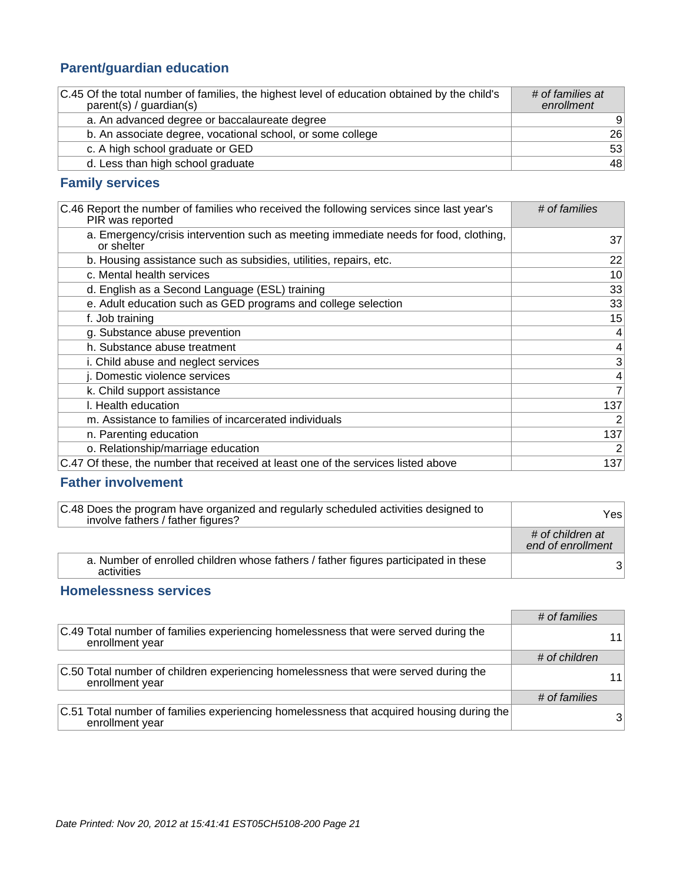### **Parent/guardian education**

| C.45 Of the total number of families, the highest level of education obtained by the child's<br>parent(s) / quartian(s) | # of families at<br>enrollment |
|-------------------------------------------------------------------------------------------------------------------------|--------------------------------|
| a. An advanced degree or baccalaureate degree                                                                           | 9                              |
| b. An associate degree, vocational school, or some college                                                              | 26                             |
| c. A high school graduate or GED                                                                                        | 53                             |
| d. Less than high school graduate                                                                                       | 48                             |

### **Family services**

| C.46 Report the number of families who received the following services since last year's<br>PIR was reported | # of families   |
|--------------------------------------------------------------------------------------------------------------|-----------------|
| a. Emergency/crisis intervention such as meeting immediate needs for food, clothing,<br>or shelter           | 37              |
| b. Housing assistance such as subsidies, utilities, repairs, etc.                                            | 22              |
| c. Mental health services                                                                                    | 10 <sup>1</sup> |
| d. English as a Second Language (ESL) training                                                               | 33              |
| e. Adult education such as GED programs and college selection                                                | 33              |
| f. Job training                                                                                              | 15              |
| g. Substance abuse prevention                                                                                | $\overline{4}$  |
| h. Substance abuse treatment                                                                                 | $\overline{4}$  |
| i. Child abuse and neglect services                                                                          | 3               |
| j. Domestic violence services                                                                                | $\overline{4}$  |
| k. Child support assistance                                                                                  | $\overline{7}$  |
| I. Health education                                                                                          | 137             |
| m. Assistance to families of incarcerated individuals                                                        | $\overline{2}$  |
| n. Parenting education                                                                                       | 137             |
| o. Relationship/marriage education                                                                           | $\overline{2}$  |
| C.47 Of these, the number that received at least one of the services listed above                            | 137             |

### **Father involvement**

| C.48 Does the program have organized and regularly scheduled activities designed to<br>involve fathers / father figures? | Yesl                                  |
|--------------------------------------------------------------------------------------------------------------------------|---------------------------------------|
|                                                                                                                          | # of children at<br>end of enrollment |
| a. Number of enrolled children whose fathers / father figures participated in these<br>activities                        | 31                                    |

### **Homelessness services**

|                                                                                                             | # of families |                 |
|-------------------------------------------------------------------------------------------------------------|---------------|-----------------|
| C.49 Total number of families experiencing homelessness that were served during the<br>enrollment year      |               | 11 <sub>1</sub> |
|                                                                                                             | # of children |                 |
| C.50 Total number of children experiencing homelessness that were served during the<br>enrollment year      |               | 11 <sub>1</sub> |
|                                                                                                             | # of families |                 |
| C.51 Total number of families experiencing homelessness that acquired housing during the<br>enrollment year |               | 31              |